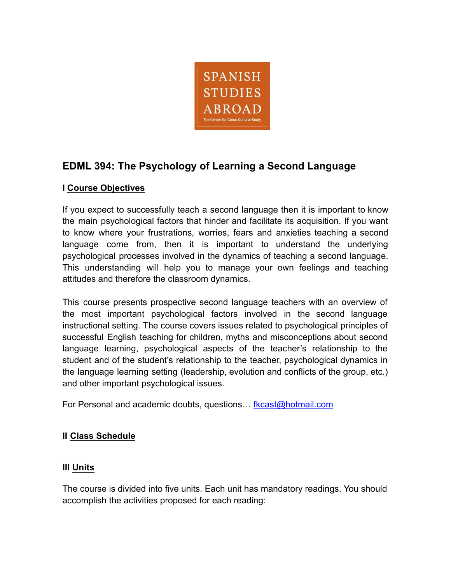

# **EDML 394: The Psychology of Learning a Second Language**

## **I Course Objectives**

If you expect to successfully teach a second language then it is important to know the main psychological factors that hinder and facilitate its acquisition. If you want to know where your frustrations, worries, fears and anxieties teaching a second language come from, then it is important to understand the underlying psychological processes involved in the dynamics of teaching a second language. This understanding will help you to manage your own feelings and teaching attitudes and therefore the classroom dynamics.

This course presents prospective second language teachers with an overview of the most important psychological factors involved in the second language instructional setting. The course covers issues related to psychological principles of successful English teaching for children, myths and misconceptions about second language learning, psychological aspects of the teacher's relationship to the student and of the student's relationship to the teacher, psychological dynamics in the language learning setting (leadership, evolution and conflicts of the group, etc.) and other important psychological issues.

For Personal and academic doubts, questions… [fkcast@hotmail.com](mailto:fkcast@hotmail.com)

## **II Class Schedule**

## **III Units**

The course is divided into five units. Each unit has mandatory readings. You should accomplish the activities proposed for each reading: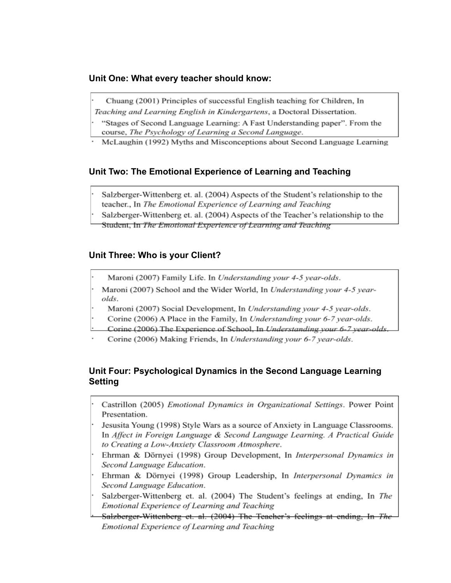#### Unit One: What every teacher should know:

- Chuang (2001) Principles of successful English teaching for Children, In
- Teaching and Learning English in Kindergartens, a Doctoral Dissertation.
- "Stages of Second Language Learning: A Fast Understanding paper". From the course, The Psychology of Learning a Second Language.
- McLaughin (1992) Myths and Misconceptions about Second Language Learning

## Unit Two: The Emotional Experience of Learning and Teaching

Salzberger-Wittenberg et. al. (2004) Aspects of the Student's relationship to the teacher., In The Emotional Experience of Learning and Teaching

Salzberger-Wittenberg et. al. (2004) Aspects of the Teacher's relationship to the

Student, In The Emotional Experience of Learning and Teaching

#### Unit Three: Who is your Client?

- Maroni (2007) Family Life. In Understanding your 4-5 year-olds.
- Maroni (2007) School and the Wider World, In Understanding your 4-5 yearolds.
- Maroni (2007) Social Development, In Understanding your 4-5 year-olds.
- Corine (2006) A Place in the Family, In Understanding your 6-7 year-olds.
- Corine (2006) The Experience of School, In Understanding your 6-7 year-olds
- Corine (2006) Making Friends, In Understanding your 6-7 year-olds.

### Unit Four: Psychological Dynamics in the Second Language Learning **Setting**

- Castrillon (2005) Emotional Dynamics in Organizational Settings. Power Point Presentation.
	- Jesusita Young (1998) Style Wars as a source of Anxiety in Language Classrooms. In Affect in Foreign Language & Second Language Learning, A Practical Guide to Creating a Low-Anxiety Classroom Atmosphere.
- Ehrman & Dörnyei (1998) Group Development, In Interpersonal Dynamics in Second Language Education.
- Ehrman & Dörnyei (1998) Group Leadership, In Interpersonal Dynamics in Second Language Education.
- Salzberger-Wittenberg et. al. (2004) The Student's feelings at ending, In The Emotional Experience of Learning and Teaching
- Salzberger-Wittenberg et. al. (2004) The Teacher's feelings at ending, In The Emotional Experience of Learning and Teaching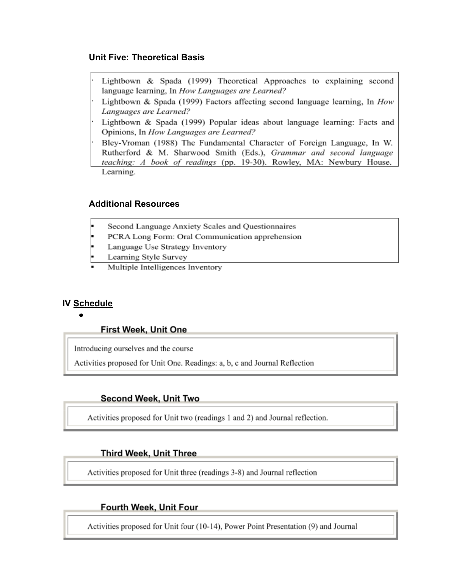#### **Unit Five: Theoretical Basis**

Lightbown & Spada (1999) Theoretical Approaches to explaining second language learning, In How Languages are Learned?

Lightbown & Spada (1999) Factors affecting second language learning, In  $How$ Languages are Learned?

Lightbown & Spada (1999) Popular ideas about language learning: Facts and Opinions, In How Languages are Learned?

Bley-Vroman (1988) The Fundamental Character of Foreign Language, In W. Rutherford & M. Sharwood Smith (Eds.), Grammar and second language teaching: A book of readings (pp. 19-30). Rowley, MA: Newbury House. Learning.

### **Additional Resources**

- Second Language Anxiety Scales and Questionnaires
- PCRA Long Form: Oral Communication apprehension
- Language Use Strategy Inventory
- Learning Style Survey
- Multiple Intelligences Inventory

#### **IV Schedule**

#### First Week, Unit One

Introducing ourselves and the course

Activities proposed for Unit One. Readings: a, b, c and Journal Reflection

#### **Second Week, Unit Two**

Activities proposed for Unit two (readings 1 and 2) and Journal reflection.

#### **Third Week, Unit Three**

Activities proposed for Unit three (readings 3-8) and Journal reflection

#### Fourth Week, Unit Four

Activities proposed for Unit four (10-14), Power Point Presentation (9) and Journal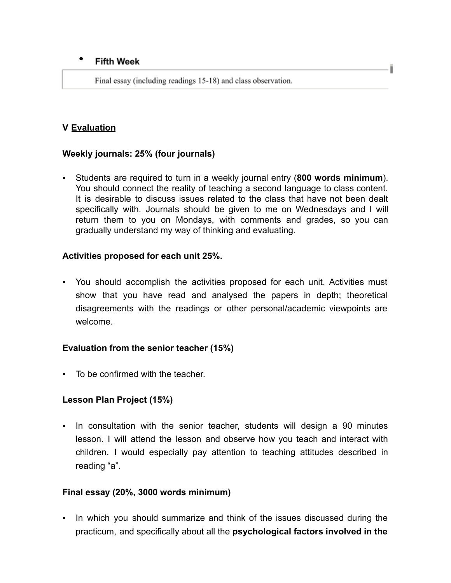#### $\bullet$ **Fifth Week**

Final essay (including readings 15-18) and class observation.

## **V Evaluation**

## **Weekly journals: 25% (four journals)**

▪ Students are required to turn in a weekly journal entry (**800 words minimum**). You should connect the reality of teaching a second language to class content. It is desirable to discuss issues related to the class that have not been dealt specifically with. Journals should be given to me on Wednesdays and I will return them to you on Mondays, with comments and grades, so you can gradually understand my way of thinking and evaluating.

## **Activities proposed for each unit 25%.**

▪ You should accomplish the activities proposed for each unit. Activities must show that you have read and analysed the papers in depth; theoretical disagreements with the readings or other personal/academic viewpoints are welcome.

## **Evaluation from the senior teacher (15%)**

To be confirmed with the teacher.

## **Lesson Plan Project (15%)**

▪ In consultation with the senior teacher, students will design a 90 minutes lesson. I will attend the lesson and observe how you teach and interact with children. I would especially pay attention to teaching attitudes described in reading "a".

## **Final essay (20%, 3000 words minimum)**

▪ In which you should summarize and think of the issues discussed during the practicum, and specifically about all the **psychological factors involved in the**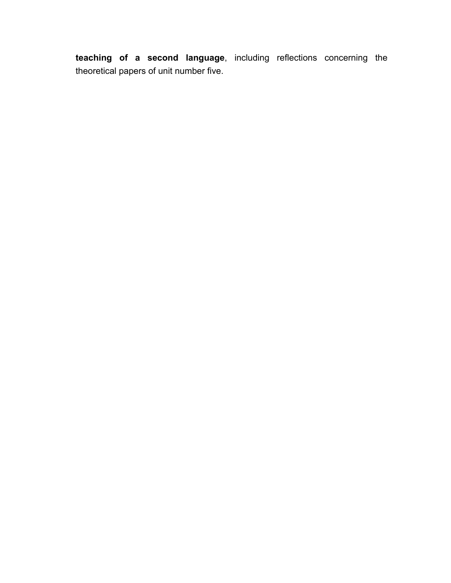**teaching of a second language**, including reflections concerning the theoretical papers of unit number five.